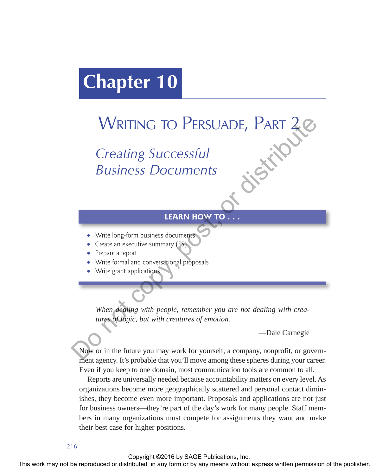# **Chapter 10**

# WRITING TO PERSUADE, PART 20<br>Creating Successful<br>Business Docum

*Creating Successful Business Documents*

# **LEARN HOW TO . . .**

- Write long-form business documents
- Create an executive summary (ES)
- Prepare a report
- Write formal and conversational proposals
- Write grant applications

*When dealing with people, remember you are not dealing with creatures of logic, but with creatures of emotion.*

—Dale Carnegie

Now or in the future you may work for yourself, a company, nonprofit, or government agency. It's probable that you'll move among these spheres during your career. Even if you keep to one domain, most communication tools are common to all.

Reports are universally needed because accountability matters on every level. As organizations become more geographically scattered and personal contact diminishes, they become even more important. Proposals and applications are not just for business owners—they're part of the day's work for many people. Staff members in many organizations must compete for assignments they want and make their best case for higher positions. WRITING TO PERSUADE, PART 2<br>
Creating Successful<br>
Business Documents<br>
LEARN HOW TO ...<br>
When long-lem suitants courrently<br>
. When long-lem and conversional permissions<br>
where grant and conversional permission of the publi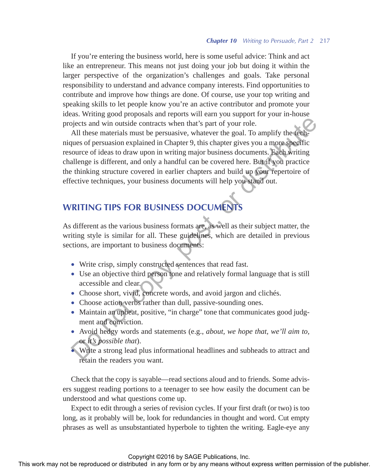#### *Chapter 10 Writing to Persuade, Part 2* 217

If you're entering the business world, here is some useful advice: Think and act like an entrepreneur. This means not just doing your job but doing it within the larger perspective of the organization's challenges and goals. Take personal responsibility to understand and advance company interests. Find opportunities to contribute and improve how things are done. Of course, use your top writing and speaking skills to let people know you're an active contributor and promote your ideas. Writing good proposals and reports will earn you support for your in-house projects and win outside contracts when that's part of your role.

All these materials must be persuasive, whatever the goal. To amplify the techniques of persuasion explained in Chapter 9, this chapter gives you a more specific resource of ideas to draw upon in writing major business documents. Each writing challenge is different, and only a handful can be covered here. But if you practice the thinking structure covered in earlier chapters and build up your repertoire of effective techniques, your business documents will help you stand out. The results and with our control or distributed or distributed or distributed or distributed or distributed or distributed in the publisher control of the state is oden with any means with a comparison of the publisher or

# **WRITING TIPS FOR BUSINESS DOCUMENTS**

As different as the various business formats are, as well as their subject matter, the writing style is similar for all. These guidelines, which are detailed in previous sections, are important to business documents:

- Write crisp, simply constructed sentences that read fast.
- Use an objective third person tone and relatively formal language that is still accessible and clear.
- Choose short, vivid, concrete words, and avoid jargon and clichés.
- Choose action verbs rather than dull, passive-sounding ones.
- Maintain an upbeat, positive, "in charge" tone that communicates good judgment and conviction.
- Avoid hedgy words and statements (e.g., *about, we hope that, we'll aim to,* or *it's possible that*).
- Write a strong lead plus informational headlines and subheads to attract and retain the readers you want.

Check that the copy is sayable—read sections aloud and to friends. Some advisers suggest reading portions to a teenager to see how easily the document can be understood and what questions come up.

Expect to edit through a series of revision cycles. If your first draft (or two) is too long, as it probably will be, look for redundancies in thought and word. Cut empty phrases as well as unsubstantiated hyperbole to tighten the writing. Eagle-eye any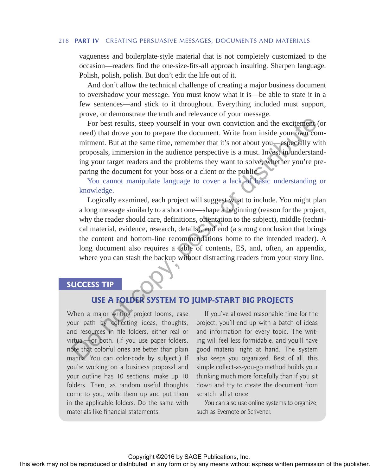vagueness and boilerplate-style material that is not completely customized to the occasion—readers find the one-size-fits-all approach insulting. Sharpen language. Polish, polish, polish. But don't edit the life out of it.

And don't allow the technical challenge of creating a major business document to overshadow your message. You must know what it is—be able to state it in a few sentences—and stick to it throughout. Everything included must support, prove, or demonstrate the truth and relevance of your message.

For best results, steep yourself in your own conviction and the excitement (or need) that drove you to prepare the document. Write from inside your own commitment. But at the same time, remember that it's not about you—especially with proposals, immersion in the audience perspective is a must. Invest in understanding your target readers and the problems they want to solve, whether you're preparing the document for your boss or a client or the public.

You cannot manipulate language to cover a lack of basic understanding or knowledge.

Logically examined, each project will suggest what to include. You might plan a long message similarly to a short one—shape a beginning (reason for the project, why the reader should care, definitions, orientation to the subject), middle (technical material, evidence, research, details), and end (a strong conclusion that brings the content and bottom-line recommendations home to the intended reader). A long document also requires a table of contents, ES, and, often, an appendix, where you can stash the backup without distracting readers from your story line. The rest results, steep yourselved in your overa constraint and the excitential or publishers with permission and the model or the model or the model or the model of the publisher permission in the model of the publisher

#### **SUCCESS TIP**

# **USE A FOLDER SYSTEM TO JUMP-START BIG PROJECTS**

When a major writing project looms, ease your path by collecting ideas, thoughts, and resources in file folders, either real or virtual—or both. (If you use paper folders, note that colorful ones are better than plain manila. You can color-code by subject.) If you're working on a business proposal and your outline has 10 sections, make up 10 folders. Then, as random useful thoughts come to you, write them up and put them in the applicable folders. Do the same with materials like financial statements.

If you've allowed reasonable time for the project, you'll end up with a batch of ideas and information for every topic. The writing will feel less formidable, and you'll have good material right at hand. The system also keeps you organized. Best of all, this simple collect-as-you-go method builds your thinking much more forcefully than if you sit down and try to create the document from scratch, all at once.

You can also use online systems to organize, such as Evernote or Scrivener.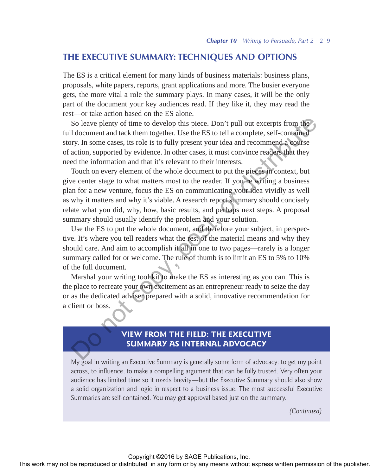# **THE EXECUTIVE SUMMARY: TECHNIQUES AND OPTIONS**

The ES is a critical element for many kinds of business materials: business plans, proposals, white papers, reports, grant applications and more. The busier everyone gets, the more vital a role the summary plays. In many cases, it will be the only part of the document your key audiences read. If they like it, they may read the rest—or take action based on the ES alone.

So leave plenty of time to develop this piece. Don't pull out excerpts from the full document and tack them together. Use the ES to tell a complete, self-contained story. In some cases, its role is to fully present your idea and recommend a course of action, supported by evidence. In other cases, it must convince readers that they need the information and that it's relevant to their interests.

Touch on every element of the whole document to put the pieces in context, but give center stage to what matters most to the reader. If you're writing a business plan for a new venture, focus the ES on communicating your idea vividly as well as why it matters and why it's viable. A research report summary should concisely relate what you did, why, how, basic results, and perhaps next steps. A proposal summary should usually identify the problem and your solution. So leave plenty of time to develop this piece. Don't public uncercapt from the publishers of the reproduced or distributed in any form or the publishers of the publishers of the publishers of the publishers of the publish

Use the ES to put the whole document, and therefore your subject, in perspective. It's where you tell readers what the rest of the material means and why they should care. And aim to accomplish it all in one to two pages—rarely is a longer summary called for or welcome. The rule of thumb is to limit an ES to 5% to 10% of the full document.

Marshal your writing tool kit to make the ES as interesting as you can. This is the place to recreate your own excitement as an entrepreneur ready to seize the day or as the dedicated adviser prepared with a solid, innovative recommendation for a client or boss.

# **VIEW FROM THE FIELD: THE EXECUTIVE SUMMARY AS INTERNAL ADVOCACY**

My goal in writing an Executive Summary is generally some form of advocacy: to get my point across, to influence, to make a compelling argument that can be fully trusted. Very often your audience has limited time so it needs brevity—but the Executive Summary should also show a solid organization and logic in respect to a business issue. The most successful Executive Summaries are self-contained. You may get approval based just on the summary.

*(Continued)*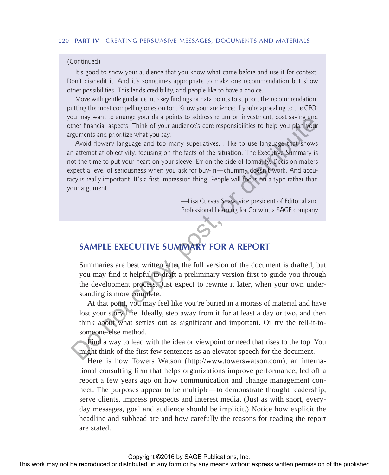#### (Continued)

It's good to show your audience that you know what came before and use it for context. Don't discredit it. And it's sometimes appropriate to make one recommendation but show other possibilities. This lends credibility, and people like to have a choice.

Move with gentle guidance into key findings or data points to support the recommendation, putting the most compelling ones on top. Know your audience: If you're appealing to the CFO, you may want to arrange your data points to address return on investment, cost saving and other financial aspects. Think of your audience's core responsibilities to help you plan your arguments and prioritize what you say.

Avoid flowery language and too many superlatives. I like to use language that shows an attempt at objectivity, focusing on the facts of the situation. The Executive Summary is not the time to put your heart on your sleeve. Err on the side of formality. Decision makers expect a level of seriousness when you ask for buy-in—chummy doesn't work. And accuracy is really important: It's a first impression thing. People will focus on a typo rather than your argument.

> —Lisa Cuevas Shaw, vice president of Editorial and Professional Learning for Corwin, a SAGE company

# **SAMPLE EXECUTIVE SUMMARY FOR A REPORT**

Summaries are best written after the full version of the document is drafted, but you may find it helpful to draft a preliminary version first to guide you through the development process. Just expect to rewrite it later, when your own understanding is more complete.

At that point, you may feel like you're buried in a morass of material and have lost your story line. Ideally, step away from it for at least a day or two, and then think about what settles out as significant and important. Or try the tell-it-tosomeone-else method.

Find a way to lead with the idea or viewpoint or need that rises to the top. You might think of the first few sentences as an elevator speech for the document.

Here is how Towers Watson (http://www.towerswatson.com), an international consulting firm that helps organizations improve performance, led off a report a few years ago on how communication and change management connect. The purposes appear to be multiple—to demonstrate thought leadership, serve clients, impress prospects and interest media. (Just as with short, everyday messages, goal and audience should be implicit.) Notice how explicit the headline and subhead are and how carefully the reasons for reading the report are stated. For the rest of the reproduced or distributed in any form of the reproduced or distributed in any superage any form or  $\frac{1}{2}$  any means we consider the publisher of the publisher. This work may not be reproduced in any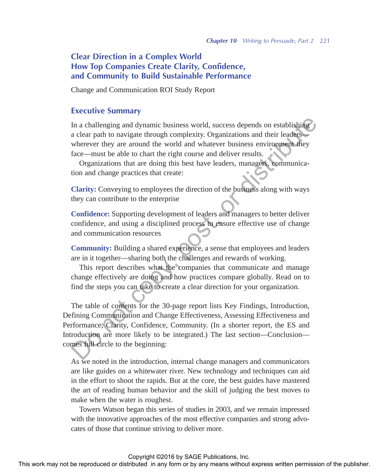# **Clear Direction in a Complex World How Top Companies Create Clarity, Confidence, and Community to Build Sustainable Performance**

Change and Communication ROI Study Report

#### **Executive Summary**

In a challenging and dynamic business world, success depends on establishing a clear path to navigate through complexity. Organizations and their leaders wherever they are around the world and whatever business environment they face—must be able to chart the right course and deliver results.

Organizations that are doing this best have leaders, managers, communication and change practices that create:

**Clarity:** Conveying to employees the direction of the business along with ways they can contribute to the enterprise

**Confidence:** Supporting development of leaders and managers to better deliver confidence, and using a disciplined process to ensure effective use of change and communication resources

**Community:** Building a shared experience, a sense that employees and leaders are in it together—sharing both the challenges and rewards of working.

This report describes what the companies that communicate and manage change effectively are doing and how practices compare globally. Read on to find the steps you can take to create a clear direction for your organization.

The table of contents for the 30-page report lists Key Findings, Introduction, Defining Communication and Change Effectiveness, Assessing Effectiveness and Performance, Clarity, Confidence, Community. (In a shorter report, the ES and Introduction are more likely to be integrated.) The last section—Conclusion comes full circle to the beginning: In a challenging and dynamic business world, success depends on eaching<br>a clear path to navigate diroughly comparations and their fedder<br>Solutions and the representations and the reproduced or distributed or<br>the reproduce

As we noted in the introduction, internal change managers and communicators are like guides on a whitewater river. New technology and techniques can aid in the effort to shoot the rapids. But at the core, the best guides have mastered the art of reading human behavior and the skill of judging the best moves to make when the water is roughest.

Towers Watson began this series of studies in 2003, and we remain impressed with the innovative approaches of the most effective companies and strong advocates of those that continue striving to deliver more.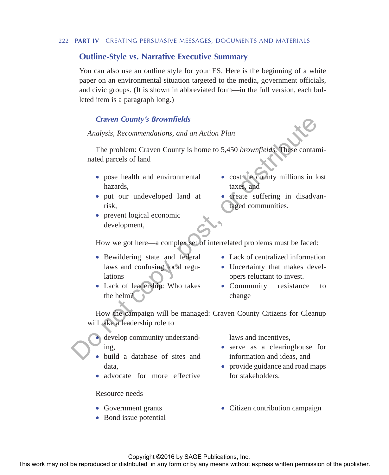#### **Outline-Style vs. Narrative Executive Summary**

You can also use an outline style for your ES. Here is the beginning of a white paper on an environmental situation targeted to the media, government officials, and civic groups. (It is shown in abbreviated form—in the full version, each bulleted item is a paragraph long.)

#### *Craven County's Brownfields*

#### *Analysis, Recommendations, and an Action Plan*

The problem: Craven County is home to 5,450 *brownfields.* These contaminated parcels of land

- pose health and environmental hazards,
- put our undeveloped land at risk,
- prevent logical economic development,
- cost the county millions in lost taxes, and
- create suffering in disadvantaged communities.
- How we got here—a complex set of interrelated problems must be faced:
- Bewildering state and federal laws and confusing local regulations
- Lack of leadership: Who takes the helm?
- Lack of centralized information
- Uncertainty that makes developers reluctant to invest.
- Community resistance to change

How the campaign will be managed: Craven County Citizens for Cleanup will take a leadership role to Craver County's Brownfields<br>
Analysis. Recommendiations: and an Action Plant<br>
The problem: Crosse contains<br>
and  $\bullet$  postelland and environmental<br>  $\bullet$  postelland and environmental<br>  $\bullet$  post be related and  $\bullet$ <br>  $\bullet$  and

develop community understanding,

- build a database of sites and data,
- advocate for more effective

#### Resource needs

- Government grants
- Bond issue potential

laws and incentives,

- serve as a clearinghouse for information and ideas, and
- provide guidance and road maps for stakeholders.
- Citizen contribution campaign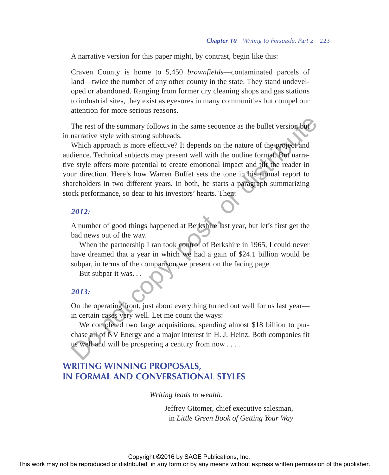A narrative version for this paper might, by contrast, begin like this:

Craven County is home to 5,450 *brownfields*—contaminated parcels of land—twice the number of any other county in the state. They stand undeveloped or abandoned. Ranging from former dry cleaning shops and gas stations to industrial sites, they exist as eyesores in many communities but compel our attention for more serious reasons.

The rest of the summary follows in the same sequence as the bullet version but in narrative style with strong subheads.

Which approach is more effective? It depends on the nature of the project and audience. Technical subjects may present well with the outline format. But narrative style offers more potential to create emotional impact and tilt the reader in your direction. Here's how Warren Buffet sets the tone in his annual report to shareholders in two different years. In both, he starts a paragraph summarizing stock performance, so dear to his investors' hearts. Then: The rest of the summary follows in the same sequence as the bullet version Windows allemont. Technical subjects may present well with a nontine from permission and the content of the publisher or any means with the conten

#### *2012:*

A number of good things happened at Berkshire last year, but let's first get the bad news out of the way.

When the partnership I ran took control of Berkshire in 1965, I could never have dreamed that a year in which we had a gain of \$24.1 billion would be subpar, in terms of the comparison we present on the facing page.

But subpar it was. . .

#### *2013:*

On the operating front, just about everything turned out well for us last year in certain cases very well. Let me count the ways:

We completed two large acquisitions, spending almost \$18 billion to purchase all of NV Energy and a major interest in H. J. Heinz. Both companies fit us well and will be prospering a century from now . . . .

# **WRITING WINNING PROPOSALS, IN FORMAL AND CONVERSATIONAL STYLES**

*Writing leads to wealth.*

—Jeffrey Gitomer, chief executive salesman, in *Little Green Book of Getting Your Way*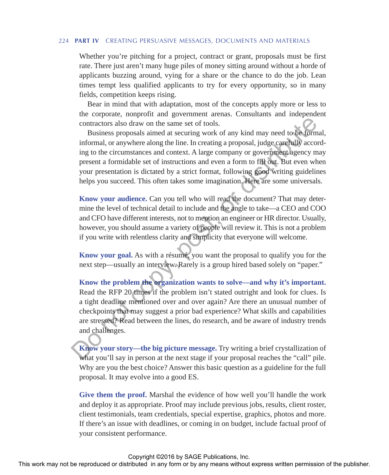Whether you're pitching for a project, contract or grant, proposals must be first rate. There just aren't many huge piles of money sitting around without a horde of applicants buzzing around, vying for a share or the chance to do the job. Lean times tempt less qualified applicants to try for every opportunity, so in many fields, competition keeps rising.

Bear in mind that with adaptation, most of the concepts apply more or less to the corporate, nonprofit and government arenas. Consultants and independent contractors also draw on the same set of tools.

Business proposals aimed at securing work of any kind may need to be formal, informal, or anywhere along the line. In creating a proposal, judge carefully according to the circumstances and context. A large company or government agency may present a formidable set of instructions and even a form to fill out. But even when your presentation is dictated by a strict format, following good writing guidelines helps you succeed. This often takes some imagination. Here are some universals. Constraints and charge the same set of cools. This we represent the publishers are provided in any formulation or any between a constrained in any composed in the publisher or distributed in any or preceding the publisher

**Know your audience.** Can you tell who will read the document? That may determine the level of technical detail to include and the angle to take—a CEO and COO and CFO have different interests, not to mention an engineer or HR director. Usually, however, you should assume a variety of people will review it. This is not a problem if you write with relentless clarity and simplicity that everyone will welcome.

**Know your goal.** As with a résumé, you want the proposal to qualify you for the next step—usually an interview. Rarely is a group hired based solely on "paper."

**Know the problem the organization wants to solve—and why it's important.** Read the RFP 20 times if the problem isn't stated outright and look for clues. Is a tight deadline mentioned over and over again? Are there an unusual number of checkpoints that may suggest a prior bad experience? What skills and capabilities are stressed? Read between the lines, do research, and be aware of industry trends and challenges.

**Know your story—the big picture message.** Try writing a brief crystallization of what you'll say in person at the next stage if your proposal reaches the "call" pile. Why are you the best choice? Answer this basic question as a guideline for the full proposal. It may evolve into a good ES.

**Give them the proof.** Marshal the evidence of how well you'll handle the work and deploy it as appropriate. Proof may include previous jobs, results, client roster, client testimonials, team credentials, special expertise, graphics, photos and more. If there's an issue with deadlines, or coming in on budget, include factual proof of your consistent performance.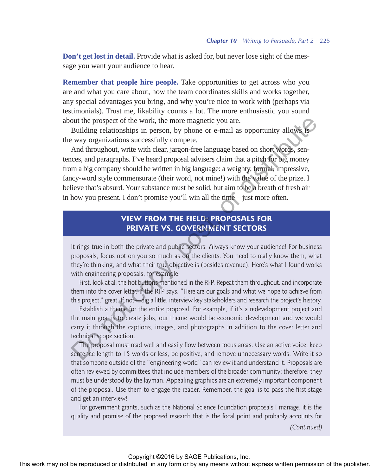**Don't get lost in detail.** Provide what is asked for, but never lose sight of the message you want your audience to hear.

**Remember that people hire people.** Take opportunities to get across who you are and what you care about, how the team coordinates skills and works together, any special advantages you bring, and why you're nice to work with (perhaps via testimonials). Trust me, likability counts a lot. The more enthusiastic you sound about the prospect of the work, the more magnetic you are.

Building relationships in person, by phone or e-mail as opportunity allows is the way organizations successfully compete.

And throughout, write with clear, jargon-free language based on short words, sentences, and paragraphs. I've heard proposal advisers claim that a pitch for big money from a big company should be written in big language: a weighty, formal, impressive, fancy-word style commensurate (their word, not mine!) with the value of the prize. I believe that's absurd. Your substance must be solid, but aim to be a breath of fresh air in how you present. I don't promise you'll win all the time—just more often.

# **VIEW FROM THE FIELD: PROPOSALS FOR PRIVATE VS. GOVERNMENT SECTORS**

It rings true in both the private and public sectors: Always know your audience! For business proposals, focus not on you so much as on the clients. You need to really know them, what they're thinking, and what their true objective is (besides revenue). Here's what I found works with engineering proposals, for example.

First, look at all the hot buttons mentioned in the RFP. Repeat them throughout, and incorporate them into the cover letter. If the RFP says, "Here are our goals and what we hope to achieve from this project," great. If not—dig a little, interview key stakeholders and research the project's history.

Establish a theme for the entire proposal. For example, if it's a redevelopment project and the main goal is to create jobs, our theme would be economic development and we would carry it through the captions, images, and photographs in addition to the cover letter and technical scope section.

The proposal must read well and easily flow between focus areas. Use an active voice, keep sentence length to 15 words or less, be positive, and remove unnecessary words. Write it so that someone outside of the "engineering world" can review it and understand it. Proposals are often reviewed by committees that include members of the broader community; therefore, they must be understood by the layman. Appealing graphics are an extremely important component of the proposal. Use them to engage the reader. Remember, the goal is to pass the first stage and get an interview! about the prooper of the work, the more magnetic you can<br>constrain the value of the reproduced or distributed in any form or by any form or by any equal as supportunity allows<br>the way organizations successibly complete an

For government grants, such as the National Science Foundation proposals I manage, it is the quality and promise of the proposed research that is the focal point and probably accounts for

*(Continued)*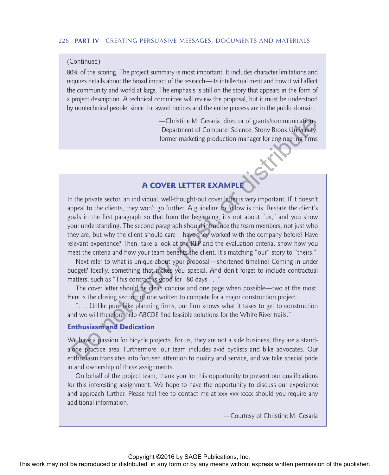#### (Continued)

80% of the scoring. The project summary is most important. It includes character limitations and requires details about the broad impact of the research—its intellectual merit and how it will affect the community and world at large. The emphasis is still on the story that appears in the form of a project description. A technical committee will review the proposal, but it must be understood by nontechnical people, since the award notices and the entire process are in the public domain.

> —Christine M. Cesaria, director of grants/communications, Department of Computer Science, Stony Brook University; former marketing production manager for engineering firms

# **A COVER LETTER EXAMPLE**

In the private sector, an individual, well-thought-out cover letter is very important. If it doesn't appeal to the clients, they won't go further. A guideline to follow is this: Restate the client's goals in the first paragraph so that from the beginning, it's not about "us," and you show your understanding. The second paragraph should introduce the team members, not just who they are, but why the client should care—have they worked with the company before? Have relevant experience? Then, take a look at the RFP and the evaluation criteria, show how you meet the criteria and how your team benefits the client. It's matching "our" story to "theirs." —Christian Christian Christian Christian (according to the reproduced or distributed in any form or  $\sim$  Christian Christian Christian Christian Christian Christian Christian Christian Christian Christian Christian Christ

Next refer to what is unique about your proposal—shortened timeline? Coming in under budget? Ideally, something that makes you special. And don't forget to include contractual matters, such as "This contract is good for 180 days . . ."

The cover letter should be clear, concise and one page when possible—two at the most. Here is the closing section of one written to compete for a major construction project:

". . . Unlike pure bike planning firms, our firm knows what it takes to get to construction and we will therefore help ABCDE find feasible solutions for the White River trails."

#### **Enthusiasm and Dedication**

We have a passion for bicycle projects. For us, they are not a side business; they are a standalone practice area. Furthermore, our team includes avid cyclists and bike advocates. Our enthusiasm translates into focused attention to quality and service, and we take special pride in and ownership of these assignments.

On behalf of the project team, thank you for this opportunity to present our qualifications for this interesting assignment. We hope to have the opportunity to discuss our experience and approach further. Please feel free to contact me at xxx-xxx-xxxx should you require any additional information.

—Courtesy of Christine M. Cesaria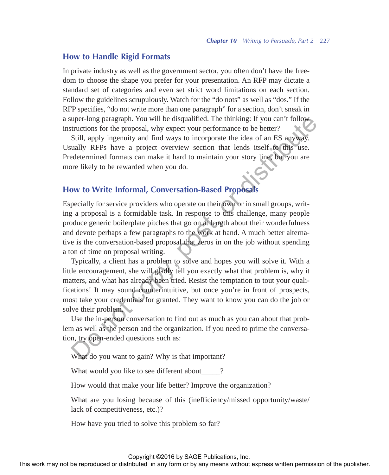#### **How to Handle Rigid Formats**

In private industry as well as the government sector, you often don't have the freedom to choose the shape you prefer for your presentation. An RFP may dictate a standard set of categories and even set strict word limitations on each section. Follow the guidelines scrupulously. Watch for the "do nots" as well as "dos." If the RFP specifies, "do not write more than one paragraph" for a section, don't sneak in a super-long paragraph. You will be disqualified. The thinking: If you can't follow instructions for the proposal, why expect your performance to be better?

Still, apply ingenuity and find ways to incorporate the idea of an ES anyway. Usually RFPs have a project overview section that lends itself to this use. Predetermined formats can make it hard to maintain your story line, but you are more likely to be rewarded when you do.

# **How to Write Informal, Conversation-Based Proposals**

Especially for service providers who operate on their own or in small groups, writing a proposal is a formidable task. In response to this challenge, many people produce generic boilerplate pitches that go on at length about their wonderfulness and devote perhaps a few paragraphs to the work at hand. A much better alternative is the conversation-based proposal that zeros in on the job without spending a ton of time on proposal writing. a super-loop paragraph You will be distributed. The limiting: If you can't look<br>instructions for the proposal, why expect cour performance to be better?<br>Still, apply ingenuity and find ways to incorporate the identical co

Typically, a client has a problem to solve and hopes you will solve it. With a little encouragement, she will gladly tell you exactly what that problem is, why it matters, and what has already been tried. Resist the temptation to tout your qualifications! It may sound counterintuitive, but once you're in front of prospects, most take your credentials for granted. They want to know you can do the job or solve their problem.

Use the in-person conversation to find out as much as you can about that problem as well as the person and the organization. If you need to prime the conversation, try open-ended questions such as:

What do you want to gain? Why is that important?

What would you like to see different about  $\qquad$  ?

How would that make your life better? Improve the organization?

What are you losing because of this (inefficiency/missed opportunity/waste/ lack of competitiveness, etc.)?

How have you tried to solve this problem so far?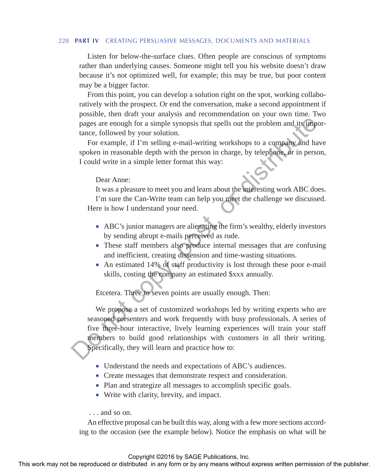Listen for below-the-surface clues. Often people are conscious of symptoms rather than underlying causes. Someone might tell you his website doesn't draw because it's not optimized well, for example; this may be true, but poor content may be a bigger factor.

From this point, you can develop a solution right on the spot, working collaboratively with the prospect. Or end the conversation, make a second appointment if possible, then draft your analysis and recommendation on your own time. Two pages are enough for a simple synopsis that spells out the problem and its importance, followed by your solution.

For example, if I'm selling e-mail-writing workshops to a company and have spoken in reasonable depth with the person in charge, by telephone, or in person, I could write in a simple letter format this way:

#### Dear Anne:

It was a pleasure to meet you and learn about the interesting work ABC does. I'm sure the Can-Write team can help you meet the challenge we discussed. Here is how I understand your need.

- ABC's junior managers are alienating the firm's wealthy, elderly investors by sending abrupt e-mails perceived as rude.
- These staff members also produce internal messages that are confusing and inefficient, creating dissension and time-wasting situations.
- An estimated 14% of staff productivity is lost through these poor e-mail skills, costing the company an estimated \$xxx annually.

Etcetera. Three to seven points are usually enough. Then:

We propose a set of customized workshops led by writing experts who are seasoned presenters and work frequently with busy professionals. A series of five three-hour interactive, lively learning experiences will train your staff members to build good relationships with customers in all their writing. Specifically, they will learn and practice how to: The complete stribute or the reproduced or distributed in any form or by any means with a permission of the reproduced in any control or the stributed in any control or the publisher. The same of the publisher in any means

- Understand the needs and expectations of ABC's audiences.
- Create messages that demonstrate respect and consideration.
- Plan and strategize all messages to accomplish specific goals.
- Write with clarity, brevity, and impact.

. . . and so on.

An effective proposal can be built this way, along with a few more sections according to the occasion (see the example below). Notice the emphasis on what will be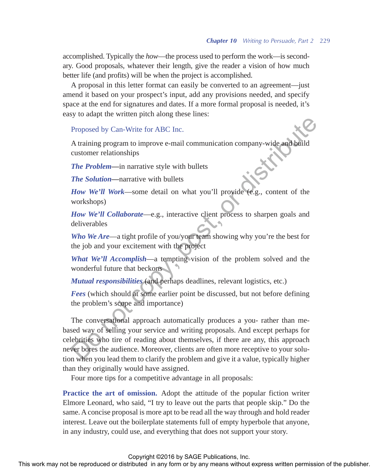accomplished. Typically the *how*—the process used to perform the work—is secondary. Good proposals, whatever their length, give the reader a vision of how much better life (and profits) will be when the project is accomplished.

A proposal in this letter format can easily be converted to an agreement—just amend it based on your prospect's input, add any provisions needed, and specify space at the end for signatures and dates. If a more formal proposal is needed, it's easy to adapt the written pitch along these lines:

#### Proposed by Can-Write for ABC Inc.

A training program to improve e-mail communication company-wide and build customer relationships

*The Problem—*in narrative style with bullets

*The Solution—*narrative with bullets

*How We'll Work*—some detail on what you'll provide (e.g., content of the workshops)

*How We'll Collaborate*—e.g., interactive client process to sharpen goals and deliverables

*Who We Are*—a tight profile of you/your team showing why you're the best for the job and your excitement with the project

*What We'll Accomplish*—a tempting vision of the problem solved and the wonderful future that beckons

*Mutual responsibilities* (and perhaps deadlines, relevant logistics, etc.)

*Fees* (which should at some earlier point be discussed, but not before defining the problem's scope and importance)

The conversational approach automatically produces a you- rather than mebased way of selling your service and writing proposals. And except perhaps for celebrities who tire of reading about themselves, if there are any, this approach never bores the audience. Moreover, clients are often more receptive to your solution when you lead them to clarify the problem and give it a value, typically higher than they originally would have assigned. Proposed by Can-Write for ABC Inc.<br>
A training program to improve e-mail communication company-wipe and balled<br>
castomer relationships<br>
The Problem—in narrative sight with bullets<br>
How We'll Work—some detail on what you'l

Four more tips for a competitive advantage in all proposals:

**Practice the art of omission.** Adopt the attitude of the popular fiction writer Elmore Leonard, who said, "I try to leave out the parts that people skip." Do the same. A concise proposal is more apt to be read all the way through and hold reader interest. Leave out the boilerplate statements full of empty hyperbole that anyone, in any industry, could use, and everything that does not support your story.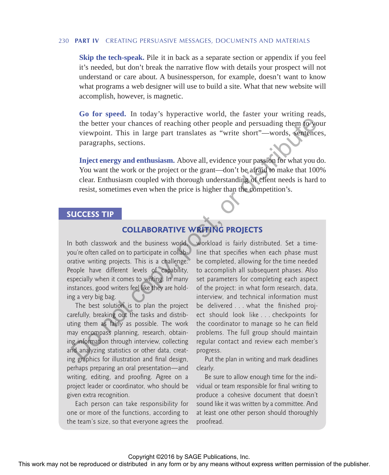**Skip the tech-speak.** Pile it in back as a separate section or appendix if you feel it's needed, but don't break the narrative flow with details your prospect will not understand or care about. A businessperson, for example, doesn't want to know what programs a web designer will use to build a site. What that new website will accomplish, however, is magnetic.

**Go for speed.** In today's hyperactive world, the faster your writing reads, the better your chances of reaching other people and persuading them to your viewpoint. This in large part translates as "write short"—words, sentences, paragraphs, sections.

**Inject energy and enthusiasm.** Above all, evidence your passion for what you do. You want the work or the project or the grant—don't be afraid to make that 100% clear. Enthusiasm coupled with thorough understanding of client needs is hard to resist, sometimes even when the price is higher than the competition's.

#### **SUCCESS TIP**

# **COLLABORATIVE WRITING PROJECTS**

In both classwork and the business world, you're often called on to participate in collaborative writing projects. This is a challenge: People have different levels of capability, especially when it comes to writing. In many instances, good writers feel like they are holding a very big bag.

The best solution is to plan the project carefully, breaking out the tasks and distributing them as fairly as possible. The work may encompass planning, research, obtaining information through interview, collecting and analyzing statistics or other data, creating graphics for illustration and final design, perhaps preparing an oral presentation—and writing, editing, and proofing. Agree on a project leader or coordinator, who should be given extra recognition.

Each person can take responsibility for one or more of the functions, according to the team's size, so that everyone agrees the

workload is fairly distributed. Set a timeline that specifies when each phase must be completed, allowing for the time needed to accomplish all subsequent phases. Also set parameters for completing each aspect of the project: in what form research, data, interview, and technical information must be delivered . . . what the finished project should look like . . . checkpoints for the coordinator to manage so he can field problems. The full group should maintain regular contact and review each member's progress. the better your continues of reaching other people and persuating them ( $\frac{1}{2}$  with space space particularly and the space of the space or publisher. The space of the publisher and the publisher of the publisher and th

Put the plan in writing and mark deadlines clearly.

Be sure to allow enough time for the individual or team responsible for final writing to produce a cohesive document that doesn't sound like it was written by a committee. And at least one other person should thoroughly proofread.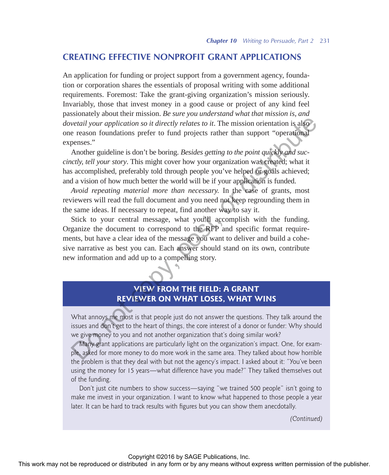# **CREATING EFFECTIVE NONPROFIT GRANT APPLICATIONS**

An application for funding or project support from a government agency, foundation or corporation shares the essentials of proposal writing with some additional requirements. Foremost: Take the grant-giving organization's mission seriously. Invariably, those that invest money in a good cause or project of any kind feel passionately about their mission. *Be sure you understand what that mission is, and dovetail your application so it directly relates to it.* The mission orientation is also one reason foundations prefer to fund projects rather than support "operational expenses."

Another guideline is don't be boring. *Besides getting to the point quickly and succinctly, tell your story*. This might cover how your organization was created; what it has accomplished, preferably told through people you've helped or goals achieved; and a vision of how much better the world will be if your application is funded.

*Avoid repeating material more than necessary.* In the case of grants, most reviewers will read the full document and you need not keep regrounding them in the same ideas. If necessary to repeat, find another way to say it.

Stick to your central message, what you'll accomplish with the funding. Organize the document to correspond to the RFP and specific format requirements, but have a clear idea of the message you want to deliver and build a cohesive narrative as best you can. Each answer should stand on its own, contribute new information and add up to a compelling story. done or the reproduced or distributed or distributed or distributed in any form or distributed in any form or by any means with the state of the publisher and the publisher and the publisher and the publisher and the publ

# **VIEW FROM THE FIELD: A GRANT REVIEWER ON WHAT LOSES, WHAT WINS**

What annoys me most is that people just do not answer the questions. They talk around the issues and don't get to the heart of things, the core interest of a donor or funder: Why should we give money to you and not another organization that's doing similar work?

Many grant applications are particularly light on the organization's impact. One, for example, asked for more money to do more work in the same area. They talked about how horrible the problem is that they deal with but not the agency's impact. I asked about it: "You've been using the money for 15 years—what difference have you made?" They talked themselves out of the funding.

Don't just cite numbers to show success—saying "we trained 500 people" isn't going to make me invest in your organization. I want to know what happened to those people a year later. It can be hard to track results with figures but you can show them anecdotally.

*(Continued)*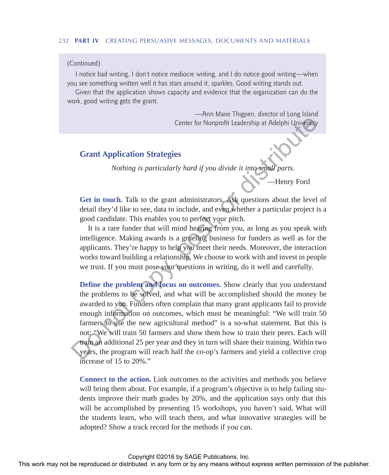#### (Continued)

I notice bad writing, I don't notice mediocre writing, and I do notice good writing—when you see something written well it has stars around it, sparkles. Good writing stands out.

Given that the application shows capacity and evidence that the organization can do the work, good writing gets the grant.

> —Ann Marie Thigpen, director of Long Island Center for Nonprofit Leadership at Adelphi University

# **Grant Application Strategies**

*Nothing is particularly hard if you divide it into small parts.*

—Henry Ford

Get in touch. Talk to the grant administrators. Ask questions about the level of detail they'd like to see, data to include, and even whether a particular project is a good candidate. This enables you to perfect your pitch.

It is a rare funder that will mind hearing from you, as long as you speak with intelligence. Making awards is a grueling business for funders as well as for the applicants. They're happy to help you meet their needs. Moreover, the interaction works toward building a relationship. We choose to work with and invest in people we trust. If you must pose your questions in writing, do it well and carefully.

**Define the problem and focus on outcomes.** Show clearly that you understand the problems to be solved, and what will be accomplished should the money be awarded to you. Funders often complain that many grant applicants fail to provide enough information on outcomes, which must be meaningful: "We will train 50 farmers to use the new agricultural method" is a so-what statement. But this is not: "We will train 50 farmers and show them how to train their peers. Each will train an additional 25 per year and they in turn will share their training. Within two years, the program will reach half the co-op's farmers and yield a collective crop increase of 15 to 20%." Centre for Nonprick Leadership at Adelphi Lepsgay<br>
Central Application Strategies<br>
Mothing is particularly hand if you divide it intergendent permissions.<br>
You did the to reproduce the reproduced in any form or between th

**Connect to the action.** Link outcomes to the activities and methods you believe will bring them about. For example, if a program's objective is to help failing students improve their math grades by 20%, and the application says only that this will be accomplished by presenting 15 workshops, you haven't said, What will the students learn, who will teach them, and what innovative strategies will be adopted? Show a track record for the methods if you can.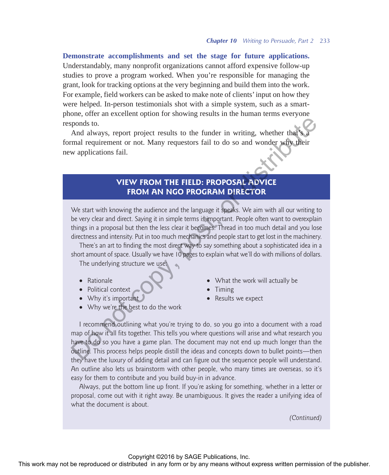#### *Chapter 10 Writing to Persuade, Part 2* 233

**Demonstrate accomplishments and set the stage for future applications.**  Understandably, many nonprofit organizations cannot afford expensive follow-up studies to prove a program worked. When you're responsible for managing the grant, look for tracking options at the very beginning and build them into the work. For example, field workers can be asked to make note of clients' input on how they were helped. In-person testimonials shot with a simple system, such as a smartphone, offer an excellent option for showing results in the human terms everyone responds to.

And always, report project results to the funder in writing, whether that formal requirement or not. Many requestors fail to do so and wonder why their new applications fail.

# **VIEW FROM THE FIELD: PROPOSAL ADVICE FROM AN NGO PROGRAM DIRECTOR**

We start with knowing the audience and the language it speaks. We aim with all our writing to be very clear and direct. Saying it in simple terms is important. People often want to overexplain things in a proposal but then the less clear it becomes. Thread in too much detail and you lose directness and intensity. Put in too much mechanics and people start to get lost in the machinery.

There's an art to finding the most direct way to say something about a sophisticated idea in a short amount of space. Usually we have 10 pages to explain what we'll do with millions of dollars.

The underlying structure we use:

- Rationale
- Political context
- Why it's important
- Why we're the best to do the work
- What the work will actually be
- Timing
- Results we expect

I recommend outlining what you're trying to do, so you go into a document with a road map of how it all fits together. This tells you where questions will arise and what research you have to do so you have a game plan. The document may not end up much longer than the outline. This process helps people distill the ideas and concepts down to bullet points—then they have the luxury of adding detail and can figure out the sequence people will understand. An outline also lets us brainstorm with other people, who many times are overseas, so it's easy for them to contribute and you build buy-in in advance. This work may not be reproduced or distributed in any form or by any form or by any form or by any form or by any form or by any means without express without express without the publisher.<br>
We start with knowing the any

Always, put the bottom line up front. If you're asking for something, whether in a letter or proposal, come out with it right away. Be unambiguous. It gives the reader a unifying idea of what the document is about.

*(Continued)*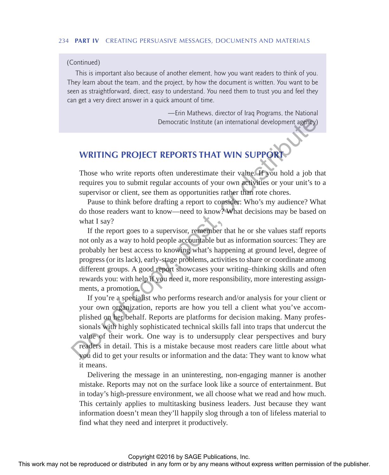#### (Continued)

This is important also because of another element, how you want readers to think of you. They learn about the team, and the project, by how the document is written. You want to be seen as straightforward, direct, easy to understand. You need them to trust you and feel they can get a very direct answer in a quick amount of time.

> —Erin Mathews, director of Iraq Programs, the National Democratic Institute (an international development agency)

# **WRITING PROJECT REPORTS THAT WIN SUPPORT**

Those who write reports often underestimate their value. If you hold a job that requires you to submit regular accounts of your own activities or your unit's to a supervisor or client, see them as opportunities rather than rote chores.

Pause to think before drafting a report to consider: Who's my audience? What do those readers want to know—need to know? What decisions may be based on what I say?

If the report goes to a supervisor, remember that he or she values staff reports not only as a way to hold people accountable but as information sources: They are probably her best access to knowing what's happening at ground level, degree of progress (or its lack), early-stage problems, activities to share or coordinate among different groups. A good report showcases your writing–thinking skills and often rewards you: with help if you need it, more responsibility, more interesting assignments, a promotion.

If you're a specialist who performs research and/or analysis for your client or your own organization, reports are how you tell a client what you've accomplished on her behalf. Reports are platforms for decision making. Many professionals with highly sophisticated technical skills fall into traps that undercut the value of their work. One way is to undersupply clear perspectives and bury readers in detail. This is a mistake because most readers care little about what you did to get your results or information and the data: They want to know what it means. Democratic institute (an international decelopment, system)<br>Those who write reports often underestimate their values of your both a job that<br>requires you to submit regular accounts of your own permission both a job that<br>re

Delivering the message in an uninteresting, non-engaging manner is another mistake. Reports may not on the surface look like a source of entertainment. But in today's high-pressure environment, we all choose what we read and how much. This certainly applies to multitasking business leaders. Just because they want information doesn't mean they'll happily slog through a ton of lifeless material to find what they need and interpret it productively.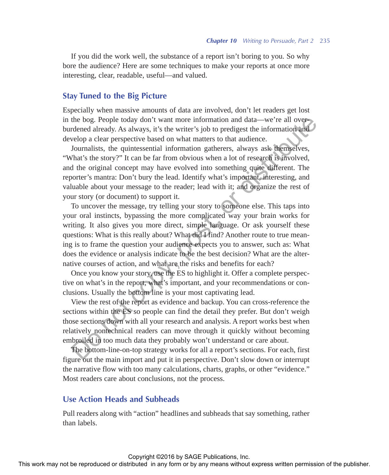If you did the work well, the substance of a report isn't boring to you. So why bore the audience? Here are some techniques to make your reports at once more interesting, clear, readable, useful—and valued.

#### **Stay Tuned to the Big Picture**

Especially when massive amounts of data are involved, don't let readers get lost in the bog. People today don't want more information and data—we're all overburdened already. As always, it's the writer's job to predigest the information and develop a clear perspective based on what matters to that audience.

Journalists, the quintessential information gatherers, always ask themselves, "What's the story?" It can be far from obvious when a lot of research is involved, and the original concept may have evolved into something quite different. The reporter's mantra: Don't bury the lead. Identify what's important, interesting, and valuable about your message to the reader; lead with it; and organize the rest of your story (or document) to support it.

To uncover the message, try telling your story to someone else. This taps into your oral instincts, bypassing the more complicated way your brain works for writing. It also gives you more direct, simple language. Or ask yourself these questions: What is this really about? What did I find? Another route to true meaning is to frame the question your audience expects you to answer, such as: What does the evidence or analysis indicate to be the best decision? What are the alternative courses of action, and what are the risks and benefits for each? in the bog. Poole both data may in the internation and data-we' is all or<br>operator and the publisher. The both may mean internate to that and<br>increase the publisher of the publisher. The analysis are proposed to see the p

Once you know your story, use the ES to highlight it. Offer a complete perspective on what's in the report, what's important, and your recommendations or conclusions. Usually the bottom line is your most captivating lead.

View the rest of the report as evidence and backup. You can cross-reference the sections within the ES so people can find the detail they prefer. But don't weigh those sections down with all your research and analysis. A report works best when relatively nontechnical readers can move through it quickly without becoming embroiled in too much data they probably won't understand or care about.

The bottom-line-on-top strategy works for all a report's sections. For each, first figure out the main import and put it in perspective. Don't slow down or interrupt the narrative flow with too many calculations, charts, graphs, or other "evidence." Most readers care about conclusions, not the process.

# **Use Action Heads and Subheads**

Pull readers along with "action" headlines and subheads that say something, rather than labels.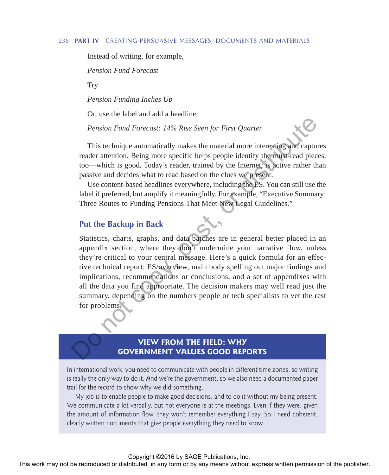Instead of writing, for example,

*Pension Fund Forecast*

**Try** 

*Pension Funding Inches Up*

Or, use the label and add a headline:

*Pension Fund Forecast: 14% Rise Seen for First Quarter*

This technique automatically makes the material more interesting and captures reader attention. Being more specific helps people identify the must-read pieces, too—which is good. Today's reader, trained by the Internet, is active rather than passive and decides what to read based on the clues we present.

Use content-based headlines everywhere, including the ES. You can still use the label if preferred, but amplify it meaningfully. For example, "Executive Summary: Three Routes to Funding Pensions That Meet New Legal Guidelines."

#### **Put the Backup in Back**

Statistics, charts, graphs, and data batches are in general better placed in an appendix section, where they don't undermine your narrative flow, unless they're critical to your central message. Here's a quick formula for an effective technical report: ES/overview, main body spelling out major findings and implications, recommendations or conclusions, and a set of appendixes with all the data you find appropriate. The decision makers may well read just the summary, depending on the numbers people or tech specialists to vet the rest for problems. *Perision Fund Forecast: 14% Rivs Seen for First Quarter*<br>
This technique automatically makes the meaninal more interesting work or beaches read or the position of the publisher of pheople.<br>
the representation Density of

# **VIEW FROM THE FIELD: WHY GOVERNMENT VALUES GOOD REPORTS**

In international work, you need to communicate with people in different time zones, so writing is really the only way to do it. And we're the government, so we also need a documented paper trail for the record to show why we did something.

My job is to enable people to make good decisions, and to do it without my being present. We communicate a lot verbally, but not everyone is at the meetings. Even if they were, given the amount of information flow, they won't remember everything I say. So I need coherent, clearly written documents that give people everything they need to know.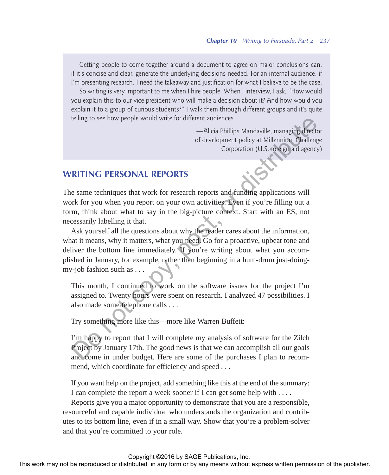Getting people to come together around a document to agree on major conclusions can, if it's concise and clear, generate the underlying decisions needed. For an internal audience, if I'm presenting research, I need the takeaway and justification for what I believe to be the case.

So writing is very important to me when I hire people. When I interview, I ask, "How would you explain this to our vice president who will make a decision about it? And how would you explain it to a group of curious students?" I walk them through different groups and it's quite telling to see how people would write for different audiences.

> —Alicia Phillips Mandaville, managing director of development policy at Millennium Challenge Corporation (U.S. foreign aid agency)

# **WRITING PERSONAL REPORTS**

The same techniques that work for research reports and funding applications will work for you when you report on your own activities. Even if you're filling out a form, think about what to say in the big-picture context. Start with an ES, not necessarily labelling it that.

Ask yourself all the questions about why the reader cares about the information, what it means, why it matters, what you need. Go for a proactive, upbeat tone and deliver the bottom line immediately. If you're writing about what you accomplished in January, for example, rather than beginning in a hum-drum just-doingmy-job fashion such as . . . This work may note that the reproduced or distributed or distributed in any form or by an any form or by any form or by any form or by any means we controlled in the same the same to controlled in any the same to controll

This month, I continued to work on the software issues for the project I'm assigned to. Twenty hours were spent on research. I analyzed 47 possibilities. I also made some telephone calls . . .

Try something more like this—more like Warren Buffett:

I'm happy to report that I will complete my analysis of software for the Zilch Project by January 17th. The good news is that we can accomplish all our goals and come in under budget. Here are some of the purchases I plan to recommend, which coordinate for efficiency and speed . . .

If you want help on the project, add something like this at the end of the summary: I can complete the report a week sooner if I can get some help with . . . .

Reports give you a major opportunity to demonstrate that you are a responsible, resourceful and capable individual who understands the organization and contributes to its bottom line, even if in a small way. Show that you're a problem-solver and that you're committed to your role.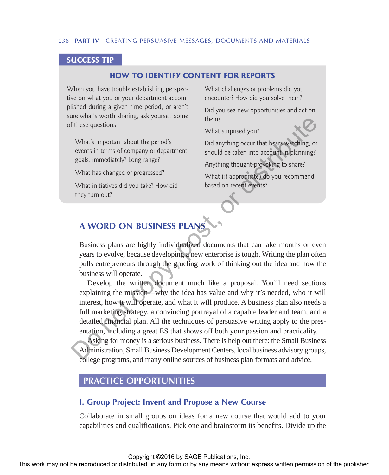#### **SUCCESS TIP**

#### **HOW TO IDENTIFY CONTENT FOR REPORTS**

When you have trouble establishing perspective on what you or your department accomplished during a given time period, or aren't sure what's worth sharing, ask yourself some of these questions.

What's important about the period's events in terms of company or department goals, immediately? Long-range?

What has changed or progressed?

What initiatives did you take? How did they turn out?

What challenges or problems did you encounter? How did you solve them?

Did you see new opportunities and act on them?

What surprised you?

based on recent events?

Did anything occur that bears watching, or should be taken into account in planning? Anything thought-provoking to share?

What (if appropriate) do you recommend

# **A WORD ON BUSINESS PLANS**

Business plans are highly individualized documents that can take months or even years to evolve, because developing a new enterprise is tough. Writing the plan often pulls entrepreneurs through the grueling work of thinking out the idea and how the business will operate.

Develop the written document much like a proposal. You'll need sections explaining the mission—why the idea has value and why it's needed, who it will interest, how it will operate, and what it will produce. A business plan also needs a full marketing strategy, a convincing portrayal of a capable leader and team, and a detailed financial plan. All the techniques of persuasive writing apply to the presentation, including a great ES that shows off both your passion and practicality. The reproduced or distributed or distributed or distributed or distributed permission or be reproduced or produced or by any means without express with a particle permission or by any means with a state in any fit is any m

Asking for money is a serious business. There is help out there: the Small Business Administration, Small Business Development Centers, local business advisory groups, college programs, and many online sources of business plan formats and advice.

# **PRACTICE OPPORTUNITIES**

# **I. Group Project: Invent and Propose a New Course**

Collaborate in small groups on ideas for a new course that would add to your capabilities and qualifications. Pick one and brainstorm its benefits. Divide up the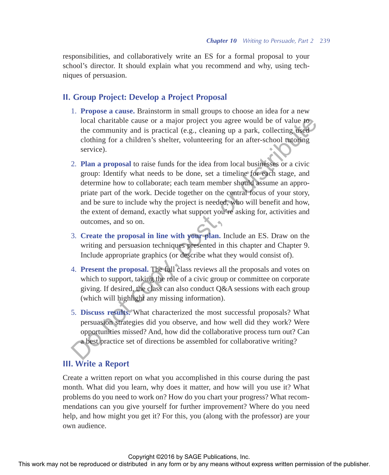responsibilities, and collaboratively write an ES for a formal proposal to your school's director. It should explain what you recommend and why, using techniques of persuasion.

# **II. Group Project: Develop a Project Proposal**

- 1. **Propose a cause.** Brainstorm in small groups to choose an idea for a new local charitable cause or a major project you agree would be of value to the community and is practical (e.g., cleaning up a park, collecting used clothing for a children's shelter, volunteering for an after-school tutoring service).
- 2. **Plan a proposal** to raise funds for the idea from local businesses or a civic group: Identify what needs to be done, set a timeline for each stage, and determine how to collaborate; each team member should assume an appropriate part of the work. Decide together on the central focus of your story, and be sure to include why the project is needed, who will benefit and how, the extent of demand, exactly what support you're asking for, activities and outcomes, and so on. Local changes or a range or which express with be of value powers which the produced or distributed in any form or a stributed in any form or a stributed in any form or by any the stributed in a stributed in any form or b
	- 3. **Create the proposal in line with your plan.** Include an ES. Draw on the writing and persuasion techniques presented in this chapter and Chapter 9. Include appropriate graphics (or describe what they would consist of).
	- 4. **Present the proposal.** The full class reviews all the proposals and votes on which to support, taking the role of a civic group or committee on corporate giving. If desired, the class can also conduct Q&A sessions with each group (which will highlight any missing information).
	- 5. **Discuss results.** What characterized the most successful proposals? What persuasion strategies did you observe, and how well did they work? Were opportunities missed? And, how did the collaborative process turn out? Can a best practice set of directions be assembled for collaborative writing?

# **III. Write a Report**

Create a written report on what you accomplished in this course during the past month. What did you learn, why does it matter, and how will you use it? What problems do you need to work on? How do you chart your progress? What recommendations can you give yourself for further improvement? Where do you need help, and how might you get it? For this, you (along with the professor) are your own audience.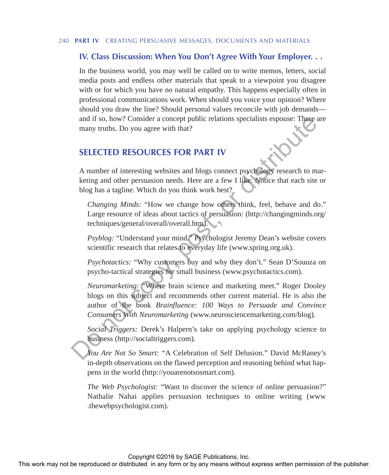#### **IV. Class Discussion: When You Don't Agree With Your Employer. . .**

In the business world, you may well be called on to write memos, letters, social media posts and endless other materials that speak to a viewpoint you disagree with or for which you have no natural empathy. This happens especially often in professional communications work. When should you voice your opinion? Where should you draw the line? Should personal values reconcile with job demands and if so, how? Consider a concept public relations specialists espouse: There are many truths. Do you agree with that?

# **SELECTED RESOURCES FOR PART IV**

A number of interesting websites and blogs connect psychology research to marketing and other persuasion needs. Here are a few I like. Notice that each site or blog has a tagline. Which do you think work best?

*Changing Minds:* "How we change how others think, feel, behave and do." Large resource of ideas about tactics of persuasion: (http://changingminds.org/ techniques/general/overall/overall.htm).

*Psyblog:* "Understand your mind." Psychologist Jeremy Dean's website covers scientific research that relates to everyday life (www.spring.org.uk).

*Psychotactics:* "Why customers buy and why they don't." Sean D'Souuza on psycho-tactical strategies for small business (www.psychotactics.com).

*Neuromarketing:* "Where brain science and marketing meet." Roger Dooley blogs on this subject and recommends other current material. He is also the author of the book *Brainfluence: 100 Ways to Persuade and Convince Consumers With Neuromarketing* (www.neurosciencemarketing.com/blog). and is observed the reproduced or distributed in any form of Constant may not be reproduced in any form or between the reproduced in any form or between the publishers and biog some reproduced in any form or between the p

*Social Triggers:* Derek's Halpern's take on applying psychology science to business (http://socialtriggers.com).

*You Are Not So Smart:* "A Celebration of Self Delusion." David McRaney's in-depth observations on the flawed perception and reasoning behind what happens in the world (http://youarenotsosmart.com).

*The Web Psychologist:* "Want to discover the science of online persuasion?" Nathalie Nahai applies persuasion techniques to online writing (www .thewebpsychologist.com).